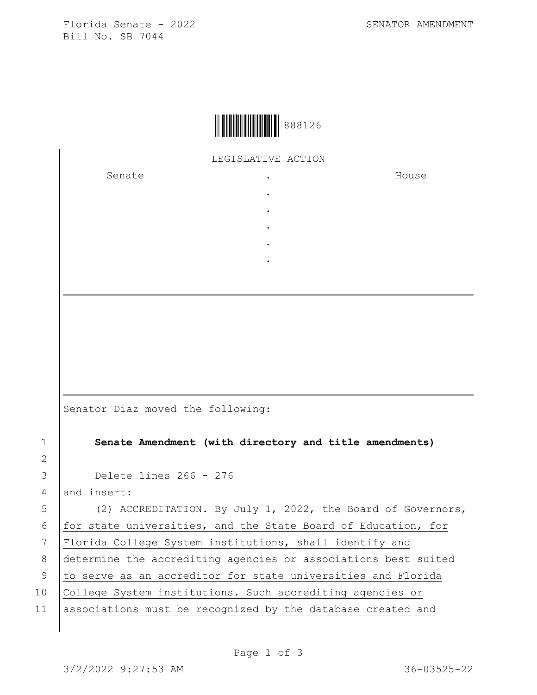Florida Senate - 2022 SENATOR AMENDMENT Bill No. SB 7044

|  | 888126 |
|--|--------|
|--|--------|

LEGISLATIVE ACTION

. . . . .

Senate the senate of the senate  $\cdot$ 

House

Senator Diaz moved the following:

1 **Senate Amendment (with directory and title amendments)**

3 Delete lines 266 - 276

 $4$  and insert:

2

5 (2) ACCREDITATION.—By July 1, 2022, the Board of Governors, 6  $for state universities, and the State Board of Education, for$ 7 Florida College System institutions, shall identify and 8 determine the accrediting agencies or associations best suited 9 to serve as an accreditor for state universities and Florida 10 College System institutions. Such accrediting agencies or 11 associations must be recognized by the database created and

Page 1 of 3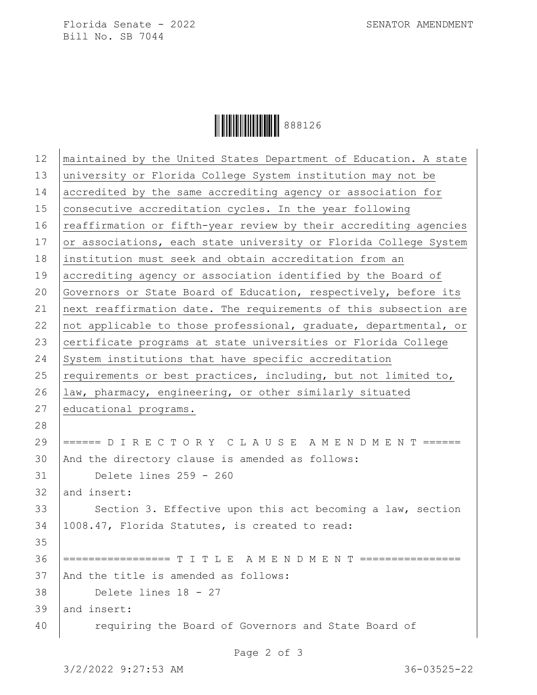Florida Senate - 2022 SENATOR AMENDMENT Bill No. SB 7044

Ì8881267Î888126

| 12 | maintained by the United States Department of Education. A state |
|----|------------------------------------------------------------------|
| 13 | university or Florida College System institution may not be      |
| 14 | accredited by the same accrediting agency or association for     |
| 15 | consecutive accreditation cycles. In the year following          |
| 16 | reaffirmation or fifth-year review by their accrediting agencies |
| 17 | or associations, each state university or Florida College System |
| 18 | institution must seek and obtain accreditation from an           |
| 19 | accrediting agency or association identified by the Board of     |
| 20 | Governors or State Board of Education, respectively, before its  |
| 21 | next reaffirmation date. The requirements of this subsection are |
| 22 | not applicable to those professional, graduate, departmental, or |
| 23 | certificate programs at state universities or Florida College    |
| 24 | System institutions that have specific accreditation             |
| 25 | requirements or best practices, including, but not limited to,   |
| 26 | law, pharmacy, engineering, or other similarly situated          |
| 27 | educational programs.                                            |
| 28 |                                                                  |
| 29 | ====== D I R E C T O R Y C L A U S E A M E N D M E N T ======    |
| 30 | And the directory clause is amended as follows:                  |
| 31 | Delete lines 259 - 260                                           |
| 32 | and insert:                                                      |
| 33 | Section 3. Effective upon this act becoming a law, section       |
| 34 | 1008.47, Florida Statutes, is created to read:                   |
| 35 |                                                                  |
| 36 | ================= T I T L E A M E N D M E N T ================   |
| 37 | And the title is amended as follows:                             |
| 38 | Delete lines 18 - 27                                             |
| 39 | and insert:                                                      |
| 40 | requiring the Board of Governors and State Board of              |
|    |                                                                  |